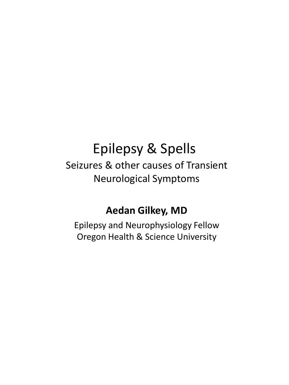## Epilepsy & Spells

Seizures & other causes of Transient Neurological Symptoms

#### **Aedan Gilkey, MD**

Epilepsy and Neurophysiology Fellow Oregon Health & Science University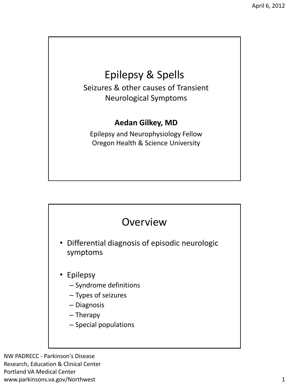## Epilepsy & Spells

Seizures & other causes of Transient Neurological Symptoms

#### **Aedan Gilkey, MD**

Epilepsy and Neurophysiology Fellow Oregon Health & Science University



NW PADRECC - Parkinson's Disease Research, Education & Clinical Center Portland VA Medical Center www.parkinsons.va.gov/Northwest 1 and 2008 and 2008 and 2008 and 2008 and 2008 and 2008 and 2008 and 2008 and 2008 and 2008 and 2008 and 2008 and 2008 and 2008 and 2008 and 2008 and 2008 and 2008 and 2008 and 2008 and 2008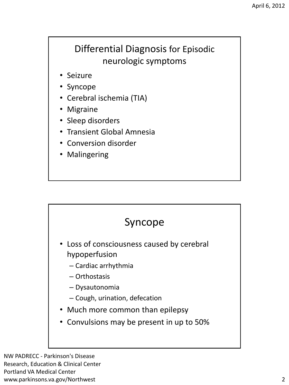#### Differential Diagnosis for Episodic neurologic symptoms

- Seizure
- Syncope
- Cerebral ischemia (TIA)
- Migraine
- Sleep disorders
- Transient Global Amnesia
- Conversion disorder
- Malingering



- Loss of consciousness caused by cerebral hypoperfusion
	- Cardiac arrhythmia
	- Orthostasis
	- Dysautonomia
	- Cough, urination, defecation
- Much more common than epilepsy
- Convulsions may be present in up to 50%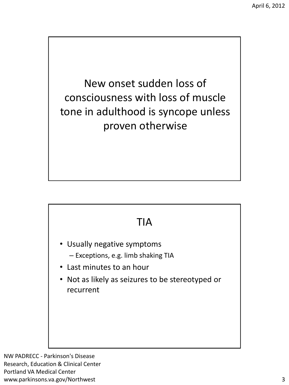New onset sudden loss of consciousness with loss of muscle tone in adulthood is syncope unless proven otherwise

#### TIA

- Usually negative symptoms
	- Exceptions, e.g. limb shaking TIA
- Last minutes to an hour
- Not as likely as seizures to be stereotyped or recurrent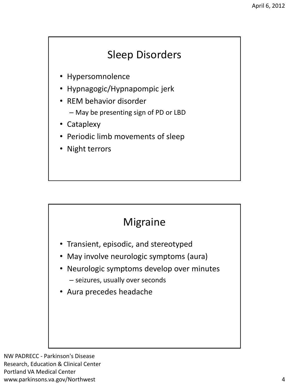## Sleep Disorders

- Hypersomnolence
- Hypnagogic/Hypnapompic jerk
- REM behavior disorder
	- May be presenting sign of PD or LBD
- Cataplexy
- Periodic limb movements of sleep
- Night terrors

#### Migraine

- Transient, episodic, and stereotyped
- May involve neurologic symptoms (aura)
- Neurologic symptoms develop over minutes – seizures, usually over seconds
- Aura precedes headache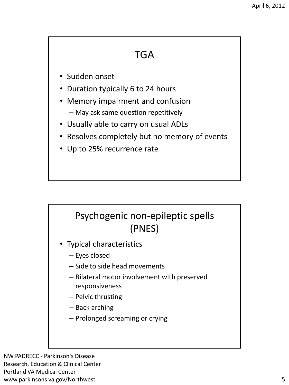#### **TGA**

- Sudden onset
- Duration typically 6 to 24 hours
- Memory impairment and confusion – May ask same question repetitively
- Usually able to carry on usual ADLs
- Resolves completely but no memory of events
- Up to 25% recurrence rate

#### Psychogenic non-epileptic spells (PNES)

- Typical characteristics
	- Eyes closed
	- Side to side head movements
	- Bilateral motor involvement with preserved responsiveness
	- Pelvic thrusting
	- Back arching
	- Prolonged screaming or crying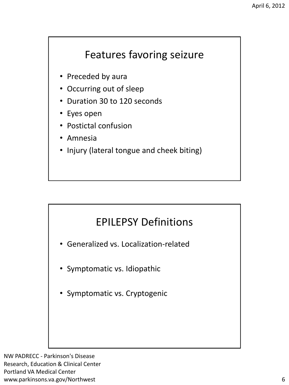#### Features favoring seizure

- Preceded by aura
- Occurring out of sleep
- Duration 30 to 120 seconds
- Eyes open
- Postictal confusion
- Amnesia
- Injury (lateral tongue and cheek biting)

#### EPILEPSY Definitions

- Generalized vs. Localization-related
- Symptomatic vs. Idiopathic
- Symptomatic vs. Cryptogenic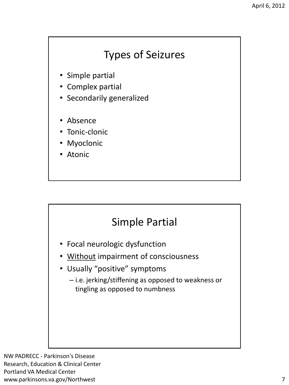#### Types of Seizures

- Simple partial
- Complex partial
- Secondarily generalized
- Absence
- Tonic-clonic
- **Myoclonic**
- Atonic

#### Simple Partial

- Focal neurologic dysfunction
- Without impairment of consciousness
- Usually "positive" symptoms
	- i.e. jerking/stiffening as opposed to weakness or tingling as opposed to numbness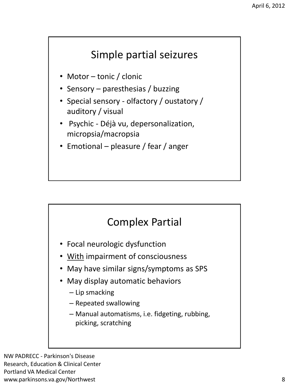#### Simple partial seizures

- Motor tonic / clonic
- Sensory paresthesias / buzzing
- Special sensory olfactory / oustatory / auditory / visual
- Psychic Déjà vu, depersonalization, micropsia/macropsia
- Emotional pleasure / fear / anger

#### Complex Partial

- Focal neurologic dysfunction
- With impairment of consciousness
- May have similar signs/symptoms as SPS
- May display automatic behaviors
	- Lip smacking
	- Repeated swallowing
	- Manual automatisms, i.e. fidgeting, rubbing, picking, scratching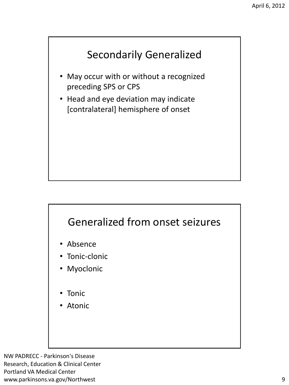## Secondarily Generalized

- May occur with or without a recognized preceding SPS or CPS
- Head and eye deviation may indicate [contralateral] hemisphere of onset

#### Generalized from onset seizures

- Absence
- Tonic-clonic
- Myoclonic
- Tonic
- **Atonic**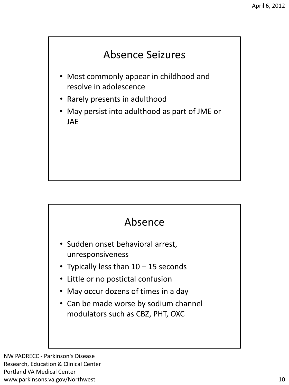## Absence Seizures

- Most commonly appear in childhood and resolve in adolescence
- Rarely presents in adulthood
- May persist into adulthood as part of JME or JAE

#### Absence

- Sudden onset behavioral arrest, unresponsiveness
- Typically less than 10 15 seconds
- Little or no postictal confusion
- May occur dozens of times in a day
- Can be made worse by sodium channel modulators such as CBZ, PHT, OXC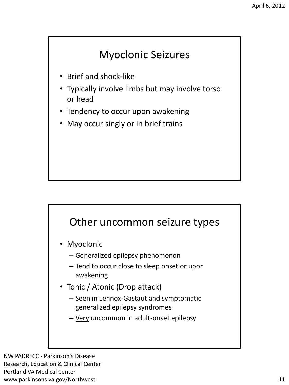#### Myoclonic Seizures

- Brief and shock-like
- Typically involve limbs but may involve torso or head
- Tendency to occur upon awakening
- May occur singly or in brief trains

#### Other uncommon seizure types

- Myoclonic
	- Generalized epilepsy phenomenon
	- Tend to occur close to sleep onset or upon awakening
- Tonic / Atonic (Drop attack)
	- Seen in Lennox-Gastaut and symptomatic generalized epilepsy syndromes
	- Very uncommon in adult-onset epilepsy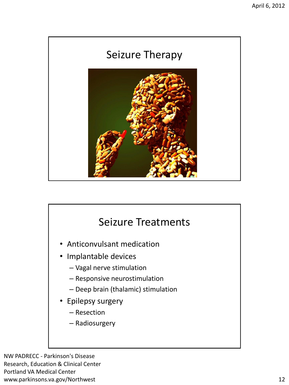

# Seizure Treatments • Anticonvulsant medication • Implantable devices – Vagal nerve stimulation – Responsive neurostimulation – Deep brain (thalamic) stimulation • Epilepsy surgery – Resection – Radiosurgery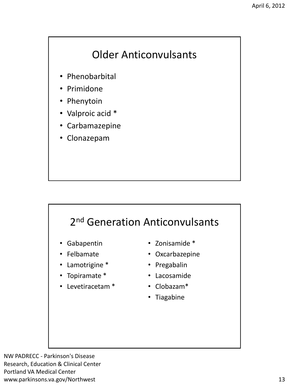## Older Anticonvulsants

- Phenobarbital
- Primidone
- Phenytoin
- Valproic acid \*
- Carbamazepine
- Clonazepam

## 2<sup>nd</sup> Generation Anticonvulsants

- Gabapentin
- Felbamate
- Lamotrigine \*
- Topiramate \*
- Levetiracetam \*
- Zonisamide \*
- Oxcarbazepine
- Pregabalin
- Lacosamide
- Clobazam\*
- Tiagabine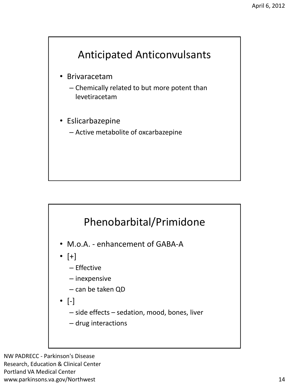

- Brivaracetam
	- Chemically related to but more potent than levetiracetam
- Eslicarbazepine
	- Active metabolite of oxcarbazepine

#### Phenobarbital/Primidone

- M.o.A. enhancement of GABA-A
- $\bullet$   $[+]$ 
	- Effective
	- inexpensive
	- can be taken QD
- [-]
	- side effects sedation, mood, bones, liver
	- drug interactions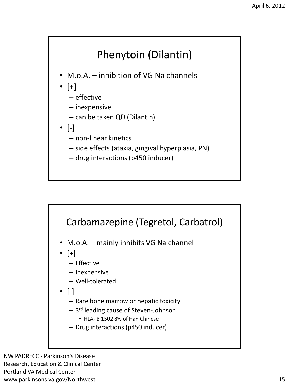

- M.o.A. inhibition of VG Na channels
- $\bullet$  [+]
	- effective
	- inexpensive
	- can be taken QD (Dilantin)
- [-]
	- non-linear kinetics
	- side effects (ataxia, gingival hyperplasia, PN)
	- drug interactions (p450 inducer)

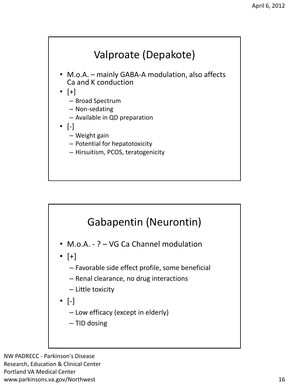

- M.o.A. mainly GABA-A modulation, also affects Ca and K conduction
- [+]
	- Broad Spectrum
	- Non-sedating
	- Available in QD preparation
- $\bullet$  [-]
	- Weight gain
	- Potential for hepatotoxicity
	- Hirsuitism, PCOS, teratogenicity



- Favorable side effect profile, some beneficial
- Renal clearance, no drug interactions
- Little toxicity
- [-]
	- Low efficacy (except in elderly)
	- TID dosing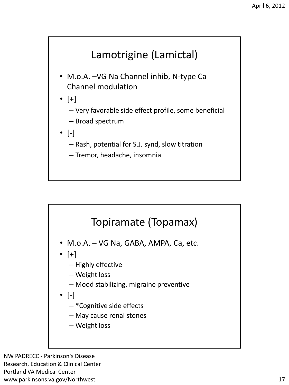## Lamotrigine (Lamictal)

- M.o.A. –VG Na Channel inhib, N-type Ca Channel modulation
- $\bullet$  [+]
	- Very favorable side effect profile, some beneficial
	- Broad spectrum
- $\bullet$  [-]
	- Rash, potential for S.J. synd, slow titration
	- Tremor, headache, insomnia



- M.o.A. VG Na, GABA, AMPA, Ca, etc.
- $\bullet$  [+]
	- Highly effective
	- Weight loss
	- Mood stabilizing, migraine preventive
- $\bullet$  [-]
	- \*Cognitive side effects
	- May cause renal stones
	- Weight loss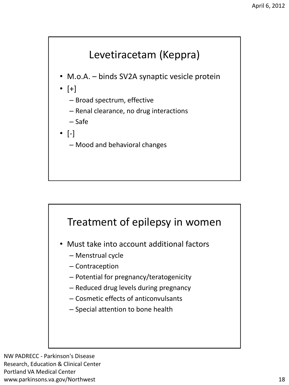

- M.o.A. binds SV2A synaptic vesicle protein
- [+]
	- Broad spectrum, effective
	- Renal clearance, no drug interactions
	- Safe
- $\bullet$  [-]
	- Mood and behavioral changes



- Must take into account additional factors
	- Menstrual cycle
	- Contraception
	- Potential for pregnancy/teratogenicity
	- Reduced drug levels during pregnancy
	- Cosmetic effects of anticonvulsants
	- Special attention to bone health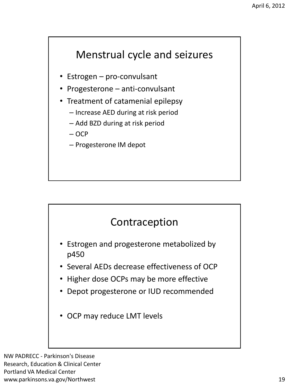#### Menstrual cycle and seizures

- Estrogen pro-convulsant
- Progesterone anti-convulsant
- Treatment of catamenial epilepsy
	- Increase AED during at risk period
	- Add BZD during at risk period
	- OCP
	- Progesterone IM depot

#### Contraception

- Estrogen and progesterone metabolized by p450
- Several AEDs decrease effectiveness of OCP
- Higher dose OCPs may be more effective
- Depot progesterone or IUD recommended
- OCP may reduce LMT levels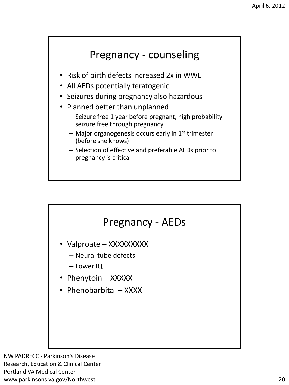#### Pregnancy - counseling

- Risk of birth defects increased 2x in WWE
- All AEDs potentially teratogenic
- Seizures during pregnancy also hazardous
- Planned better than unplanned
	- Seizure free 1 year before pregnant, high probability seizure free through pregnancy
	- $-$  Major organogenesis occurs early in 1<sup>st</sup> trimester (before she knows)
	- Selection of effective and preferable AEDs prior to pregnancy is critical